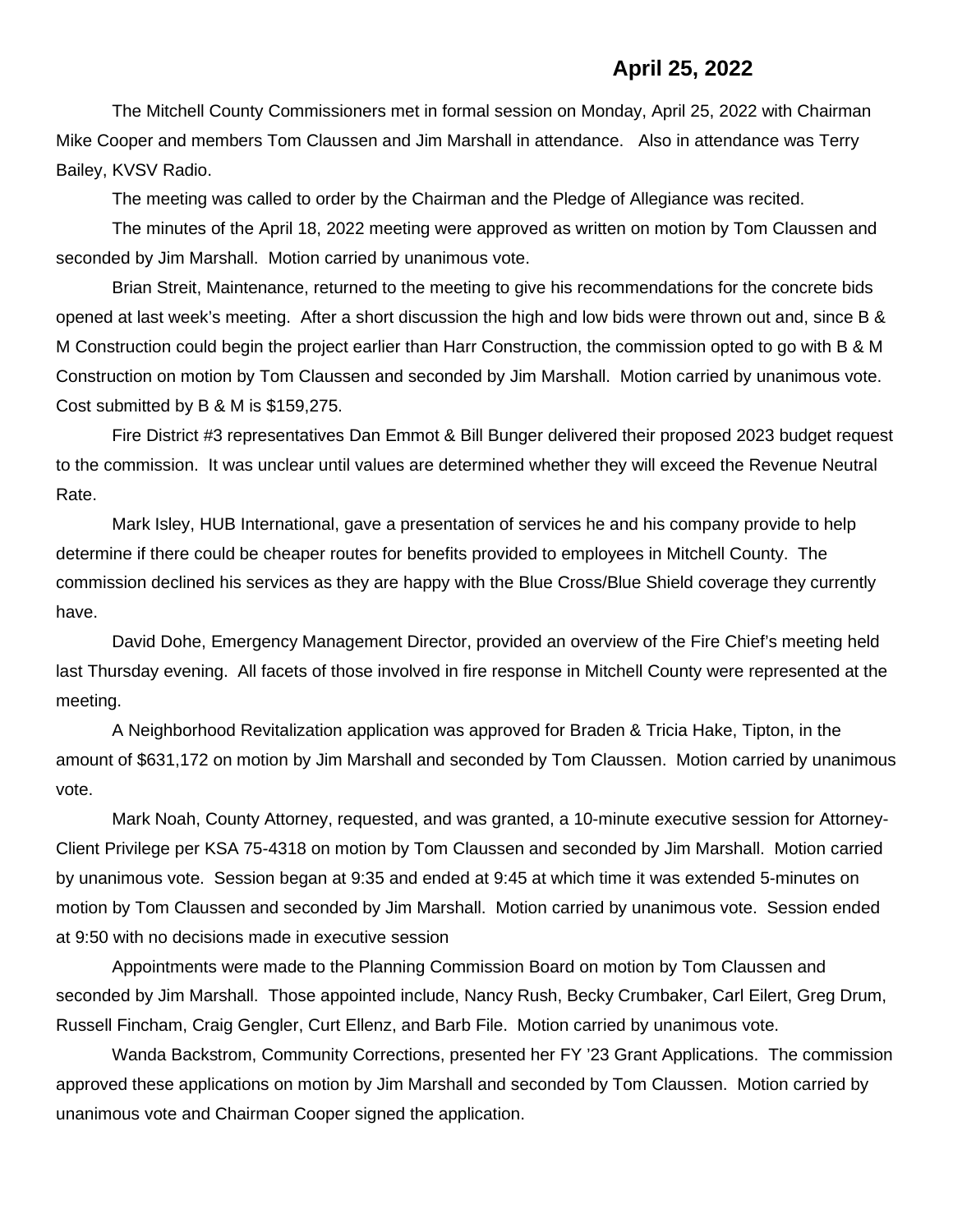## **April 25, 2022**

The Mitchell County Commissioners met in formal session on Monday, April 25, 2022 with Chairman Mike Cooper and members Tom Claussen and Jim Marshall in attendance. Also in attendance was Terry Bailey, KVSV Radio.

The meeting was called to order by the Chairman and the Pledge of Allegiance was recited.

The minutes of the April 18, 2022 meeting were approved as written on motion by Tom Claussen and seconded by Jim Marshall. Motion carried by unanimous vote.

Brian Streit, Maintenance, returned to the meeting to give his recommendations for the concrete bids opened at last week's meeting. After a short discussion the high and low bids were thrown out and, since B & M Construction could begin the project earlier than Harr Construction, the commission opted to go with B & M Construction on motion by Tom Claussen and seconded by Jim Marshall. Motion carried by unanimous vote. Cost submitted by B & M is \$159,275.

Fire District #3 representatives Dan Emmot & Bill Bunger delivered their proposed 2023 budget request to the commission. It was unclear until values are determined whether they will exceed the Revenue Neutral Rate.

Mark Isley, HUB International, gave a presentation of services he and his company provide to help determine if there could be cheaper routes for benefits provided to employees in Mitchell County. The commission declined his services as they are happy with the Blue Cross/Blue Shield coverage they currently have.

David Dohe, Emergency Management Director, provided an overview of the Fire Chief's meeting held last Thursday evening. All facets of those involved in fire response in Mitchell County were represented at the meeting.

A Neighborhood Revitalization application was approved for Braden & Tricia Hake, Tipton, in the amount of \$631,172 on motion by Jim Marshall and seconded by Tom Claussen. Motion carried by unanimous vote.

Mark Noah, County Attorney, requested, and was granted, a 10-minute executive session for Attorney-Client Privilege per KSA 75-4318 on motion by Tom Claussen and seconded by Jim Marshall. Motion carried by unanimous vote. Session began at 9:35 and ended at 9:45 at which time it was extended 5-minutes on motion by Tom Claussen and seconded by Jim Marshall. Motion carried by unanimous vote. Session ended at 9:50 with no decisions made in executive session

Appointments were made to the Planning Commission Board on motion by Tom Claussen and seconded by Jim Marshall. Those appointed include, Nancy Rush, Becky Crumbaker, Carl Eilert, Greg Drum, Russell Fincham, Craig Gengler, Curt Ellenz, and Barb File. Motion carried by unanimous vote.

Wanda Backstrom, Community Corrections, presented her FY '23 Grant Applications. The commission approved these applications on motion by Jim Marshall and seconded by Tom Claussen. Motion carried by unanimous vote and Chairman Cooper signed the application.